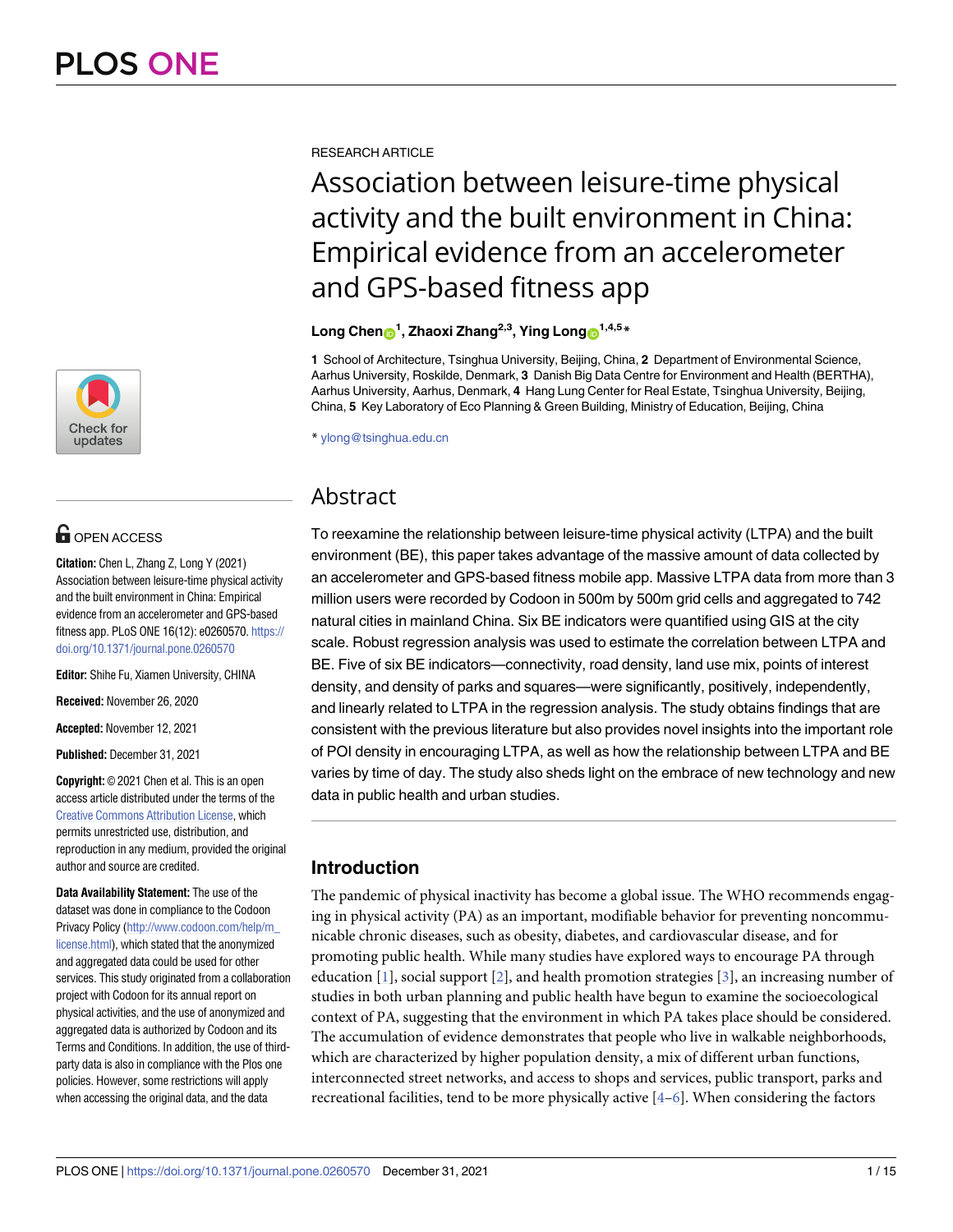

## **OPEN ACCESS**

**Citation:** Chen L, Zhang Z, Long Y (2021) Association between leisure-time physical activity and the built environment in China: Empirical evidence from an accelerometer and GPS-based fitness app. PLoS ONE 16(12): e0260570. [https://](https://doi.org/10.1371/journal.pone.0260570) [doi.org/10.1371/journal.pone.0260570](https://doi.org/10.1371/journal.pone.0260570)

**Editor:** Shihe Fu, Xiamen University, CHINA

**Received:** November 26, 2020

**Accepted:** November 12, 2021

**Published:** December 31, 2021

**Copyright:** © 2021 Chen et al. This is an open access article distributed under the terms of the Creative Commons [Attribution](http://creativecommons.org/licenses/by/4.0/) License, which permits unrestricted use, distribution, and reproduction in any medium, provided the original author and source are credited.

**Data Availability Statement:** The use of the dataset was done in compliance to the Codoon Privacy Policy [\(http://www.codoon.com/help/m\\_](http://www.codoon.com/help/m_license.html) [license.html\)](http://www.codoon.com/help/m_license.html), which stated that the anonymized and aggregated data could be used for other services. This study originated from a collaboration project with Codoon for its annual report on physical activities, and the use of anonymized and aggregated data is authorized by Codoon and its Terms and Conditions. In addition, the use of thirdparty data is also in compliance with the Plos one policies. However, some restrictions will apply when accessing the original data, and the data

<span id="page-0-0"></span>RESEARCH ARTICLE

# Association between leisure-time physical activity and the built environment in China: Empirical evidence from an accelerometer and GPS-based fitness app

#### $\frac{1}{2}$  **Chen**<sup>1</sup>, Zhaoxi Zhang<sup>2,3</sup>, Ying Long<sup>1,4,5</sup>  $*$

**1** School of Architecture, Tsinghua University, Beijing, China, **2** Department of Environmental Science, Aarhus University, Roskilde, Denmark, **3** Danish Big Data Centre for Environment and Health (BERTHA), Aarhus University, Aarhus, Denmark, **4** Hang Lung Center for Real Estate, Tsinghua University, Beijing, China, **5** Key Laboratory of Eco Planning & Green Building, Ministry of Education, Beijing, China

\* ylong@tsinghua.edu.cn

## Abstract

To reexamine the relationship between leisure-time physical activity (LTPA) and the built environment (BE), this paper takes advantage of the massive amount of data collected by an accelerometer and GPS-based fitness mobile app. Massive LTPA data from more than 3 million users were recorded by Codoon in 500m by 500m grid cells and aggregated to 742 natural cities in mainland China. Six BE indicators were quantified using GIS at the city scale. Robust regression analysis was used to estimate the correlation between LTPA and BE. Five of six BE indicators—connectivity, road density, land use mix, points of interest density, and density of parks and squares—were significantly, positively, independently, and linearly related to LTPA in the regression analysis. The study obtains findings that are consistent with the previous literature but also provides novel insights into the important role of POI density in encouraging LTPA, as well as how the relationship between LTPA and BE varies by time of day. The study also sheds light on the embrace of new technology and new data in public health and urban studies.

## **Introduction**

The pandemic of physical inactivity has become a global issue. The WHO recommends engaging in physical activity (PA) as an important, modifiable behavior for preventing noncommunicable chronic diseases, such as obesity, diabetes, and cardiovascular disease, and for promoting public health. While many studies have explored ways to encourage PA through education [\[1\]](#page-12-0), social support [[2\]](#page-12-0), and health promotion strategies [[3\]](#page-12-0), an increasing number of studies in both urban planning and public health have begun to examine the socioecological context of PA, suggesting that the environment in which PA takes place should be considered. The accumulation of evidence demonstrates that people who live in walkable neighborhoods, which are characterized by higher population density, a mix of different urban functions, interconnected street networks, and access to shops and services, public transport, parks and recreational facilities, tend to be more physically active  $[4-6]$ . When considering the factors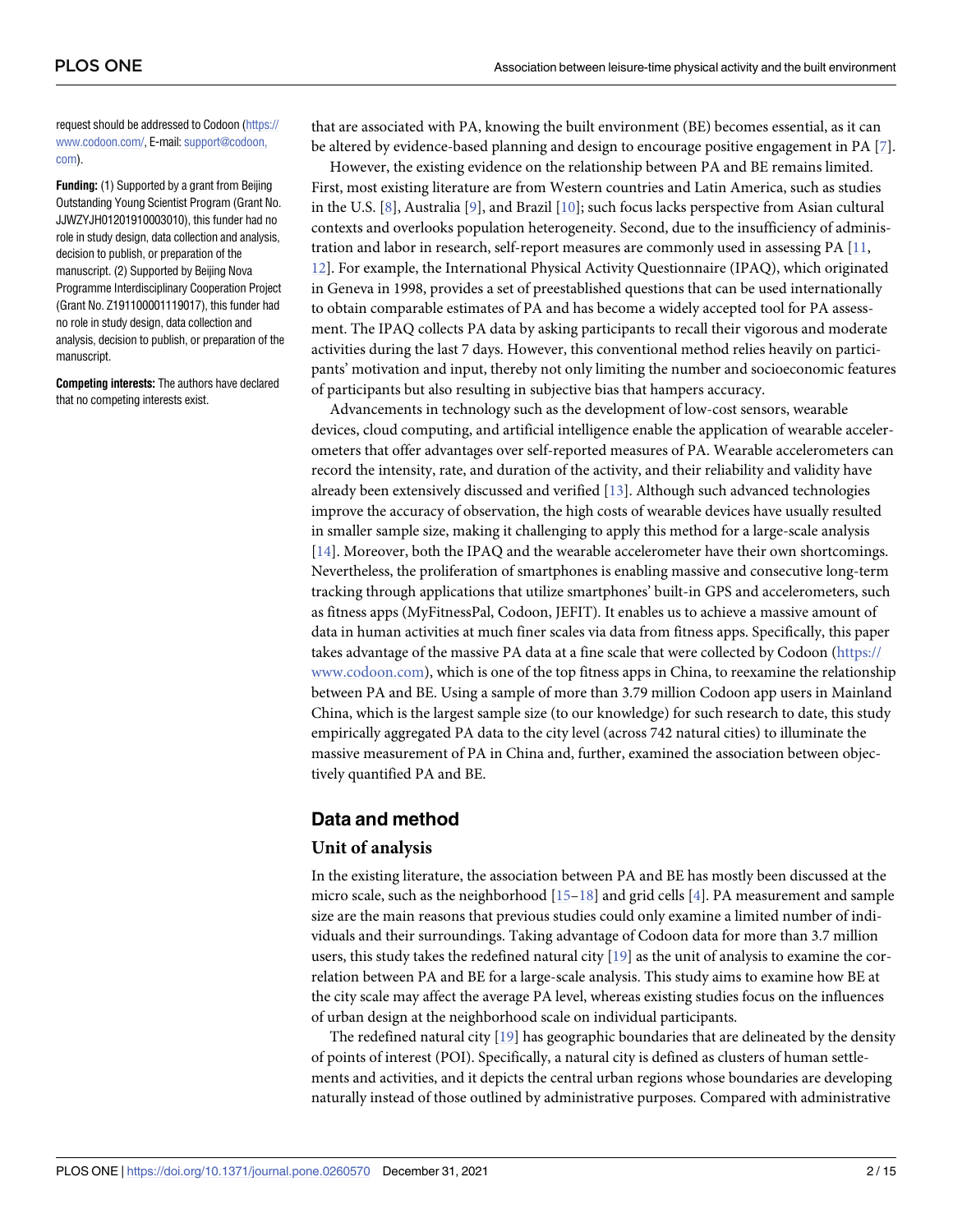<span id="page-1-0"></span>request should be addressed to Codoon [\(https://](https://www.codoon.com/) [www.codoon.com/](https://www.codoon.com/), E-mail: [support@codoon,](mailto:support@codoon,com) [com](mailto:support@codoon,com)).

**Funding:** (1) Supported by a grant from Beijing Outstanding Young Scientist Program (Grant No. JJWZYJH01201910003010), this funder had no role in study design, data collection and analysis, decision to publish, or preparation of the manuscript. (2) Supported by Beijing Nova Programme Interdisciplinary Cooperation Project (Grant No. Z191100001119017), this funder had no role in study design, data collection and analysis, decision to publish, or preparation of the manuscript.

**Competing interests:** The authors have declared that no competing interests exist.

that are associated with PA, knowing the built environment (BE) becomes essential, as it can be altered by evidence-based planning and design to encourage positive engagement in PA [\[7](#page-12-0)].

However, the existing evidence on the relationship between PA and BE remains limited. First, most existing literature are from Western countries and Latin America, such as studies in the U.S. [\[8](#page-12-0)], Australia [[9](#page-12-0)], and Brazil [\[10\]](#page-12-0); such focus lacks perspective from Asian cultural contexts and overlooks population heterogeneity. Second, due to the insufficiency of adminis-tration and labor in research, self-report measures are commonly used in assessing PA [[11](#page-12-0), [12\]](#page-12-0). For example, the International Physical Activity Questionnaire (IPAQ), which originated in Geneva in 1998, provides a set of preestablished questions that can be used internationally to obtain comparable estimates of PA and has become a widely accepted tool for PA assessment. The IPAQ collects PA data by asking participants to recall their vigorous and moderate activities during the last 7 days. However, this conventional method relies heavily on participants' motivation and input, thereby not only limiting the number and socioeconomic features of participants but also resulting in subjective bias that hampers accuracy.

Advancements in technology such as the development of low-cost sensors, wearable devices, cloud computing, and artificial intelligence enable the application of wearable accelerometers that offer advantages over self-reported measures of PA. Wearable accelerometers can record the intensity, rate, and duration of the activity, and their reliability and validity have already been extensively discussed and verified [\[13\]](#page-12-0). Although such advanced technologies improve the accuracy of observation, the high costs of wearable devices have usually resulted in smaller sample size, making it challenging to apply this method for a large-scale analysis [\[14\]](#page-12-0). Moreover, both the IPAQ and the wearable accelerometer have their own shortcomings. Nevertheless, the proliferation of smartphones is enabling massive and consecutive long-term tracking through applications that utilize smartphones' built-in GPS and accelerometers, such as fitness apps (MyFitnessPal, Codoon, JEFIT). It enables us to achieve a massive amount of data in human activities at much finer scales via data from fitness apps. Specifically, this paper takes advantage of the massive PA data at a fine scale that were collected by Codoon ([https://](https://www.codoon.com/) [www.codoon.com\)](https://www.codoon.com/), which is one of the top fitness apps in China, to reexamine the relationship between PA and BE. Using a sample of more than 3.79 million Codoon app users in Mainland China, which is the largest sample size (to our knowledge) for such research to date, this study empirically aggregated PA data to the city level (across 742 natural cities) to illuminate the massive measurement of PA in China and, further, examined the association between objectively quantified PA and BE.

### **Data and method**

#### **Unit of analysis**

In the existing literature, the association between PA and BE has mostly been discussed at the micro scale, such as the neighborhood [\[15–](#page-12-0)[18\]](#page-13-0) and grid cells [[4](#page-12-0)]. PA measurement and sample size are the main reasons that previous studies could only examine a limited number of individuals and their surroundings. Taking advantage of Codoon data for more than 3.7 million users, this study takes the redefined natural city [[19](#page-13-0)] as the unit of analysis to examine the correlation between PA and BE for a large-scale analysis. This study aims to examine how BE at the city scale may affect the average PA level, whereas existing studies focus on the influences of urban design at the neighborhood scale on individual participants.

The redefined natural city [[19](#page-13-0)] has geographic boundaries that are delineated by the density of points of interest (POI). Specifically, a natural city is defined as clusters of human settlements and activities, and it depicts the central urban regions whose boundaries are developing naturally instead of those outlined by administrative purposes. Compared with administrative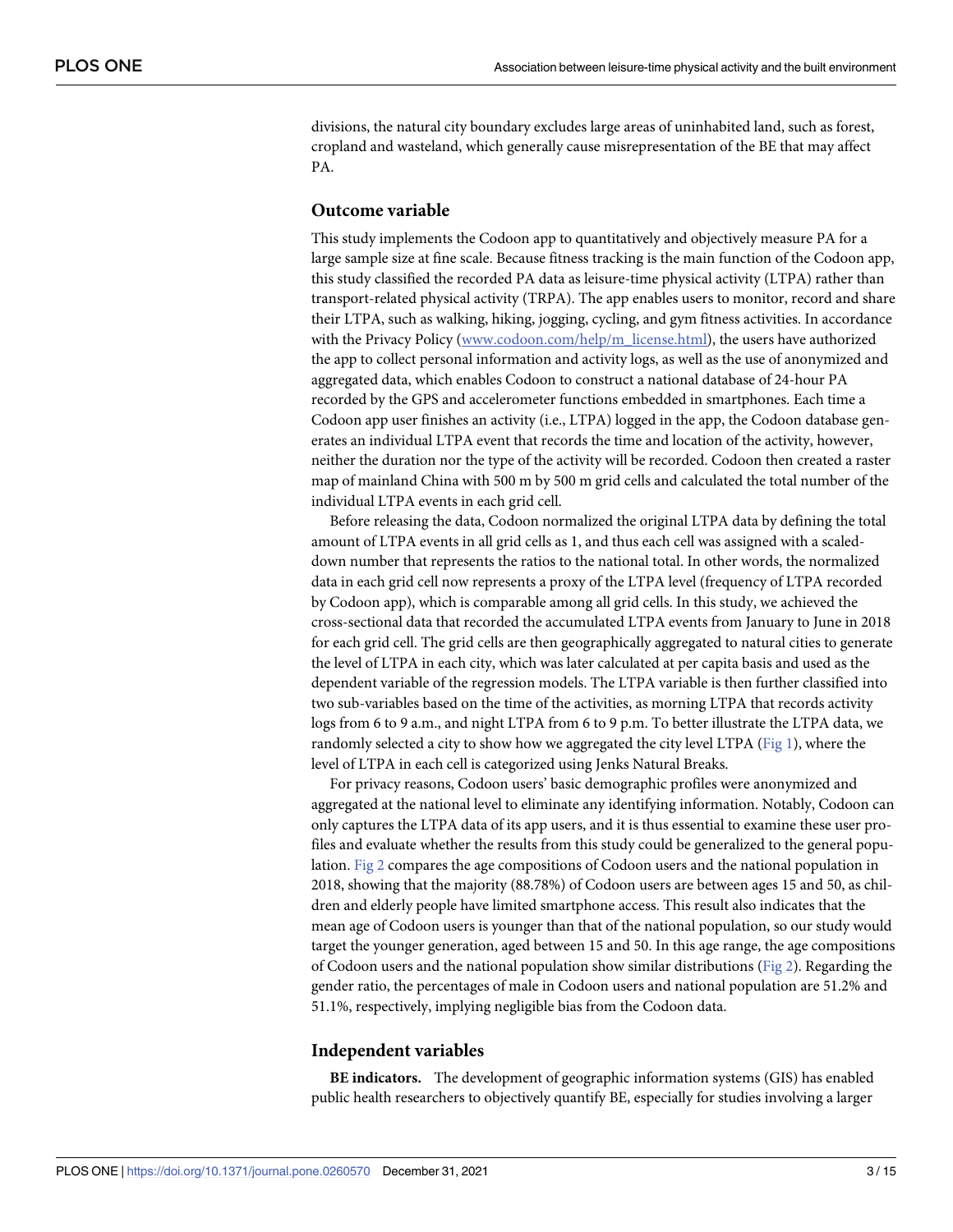<span id="page-2-0"></span>divisions, the natural city boundary excludes large areas of uninhabited land, such as forest, cropland and wasteland, which generally cause misrepresentation of the BE that may affect PA.

#### **Outcome variable**

This study implements the Codoon app to quantitatively and objectively measure PA for a large sample size at fine scale. Because fitness tracking is the main function of the Codoon app, this study classified the recorded PA data as leisure-time physical activity (LTPA) rather than transport-related physical activity (TRPA). The app enables users to monitor, record and share their LTPA, such as walking, hiking, jogging, cycling, and gym fitness activities. In accordance with the Privacy Policy ([www.codoon.com/help/m\\_license.html](http://www.codoon.com/help/m_license.html)), the users have authorized the app to collect personal information and activity logs, as well as the use of anonymized and aggregated data, which enables Codoon to construct a national database of 24-hour PA recorded by the GPS and accelerometer functions embedded in smartphones. Each time a Codoon app user finishes an activity (i.e., LTPA) logged in the app, the Codoon database generates an individual LTPA event that records the time and location of the activity, however, neither the duration nor the type of the activity will be recorded. Codoon then created a raster map of mainland China with 500 m by 500 m grid cells and calculated the total number of the individual LTPA events in each grid cell.

Before releasing the data, Codoon normalized the original LTPA data by defining the total amount of LTPA events in all grid cells as 1, and thus each cell was assigned with a scaleddown number that represents the ratios to the national total. In other words, the normalized data in each grid cell now represents a proxy of the LTPA level (frequency of LTPA recorded by Codoon app), which is comparable among all grid cells. In this study, we achieved the cross-sectional data that recorded the accumulated LTPA events from January to June in 2018 for each grid cell. The grid cells are then geographically aggregated to natural cities to generate the level of LTPA in each city, which was later calculated at per capita basis and used as the dependent variable of the regression models. The LTPA variable is then further classified into two sub-variables based on the time of the activities, as morning LTPA that records activity logs from 6 to 9 a.m., and night LTPA from 6 to 9 p.m. To better illustrate the LTPA data, we randomly selected a city to show how we aggregated the city level LTPA [\(Fig](#page-3-0) 1), where the level of LTPA in each cell is categorized using Jenks Natural Breaks.

For privacy reasons, Codoon users' basic demographic profiles were anonymized and aggregated at the national level to eliminate any identifying information. Notably, Codoon can only captures the LTPA data of its app users, and it is thus essential to examine these user profiles and evaluate whether the results from this study could be generalized to the general population. [Fig](#page-3-0) 2 compares the age compositions of Codoon users and the national population in 2018, showing that the majority (88.78%) of Codoon users are between ages 15 and 50, as children and elderly people have limited smartphone access. This result also indicates that the mean age of Codoon users is younger than that of the national population, so our study would target the younger generation, aged between 15 and 50. In this age range, the age compositions of Codoon users and the national population show similar distributions [\(Fig](#page-3-0) 2). Regarding the gender ratio, the percentages of male in Codoon users and national population are 51.2% and 51.1%, respectively, implying negligible bias from the Codoon data.

#### **Independent variables**

**BE indicators.** The development of geographic information systems (GIS) has enabled public health researchers to objectively quantify BE, especially for studies involving a larger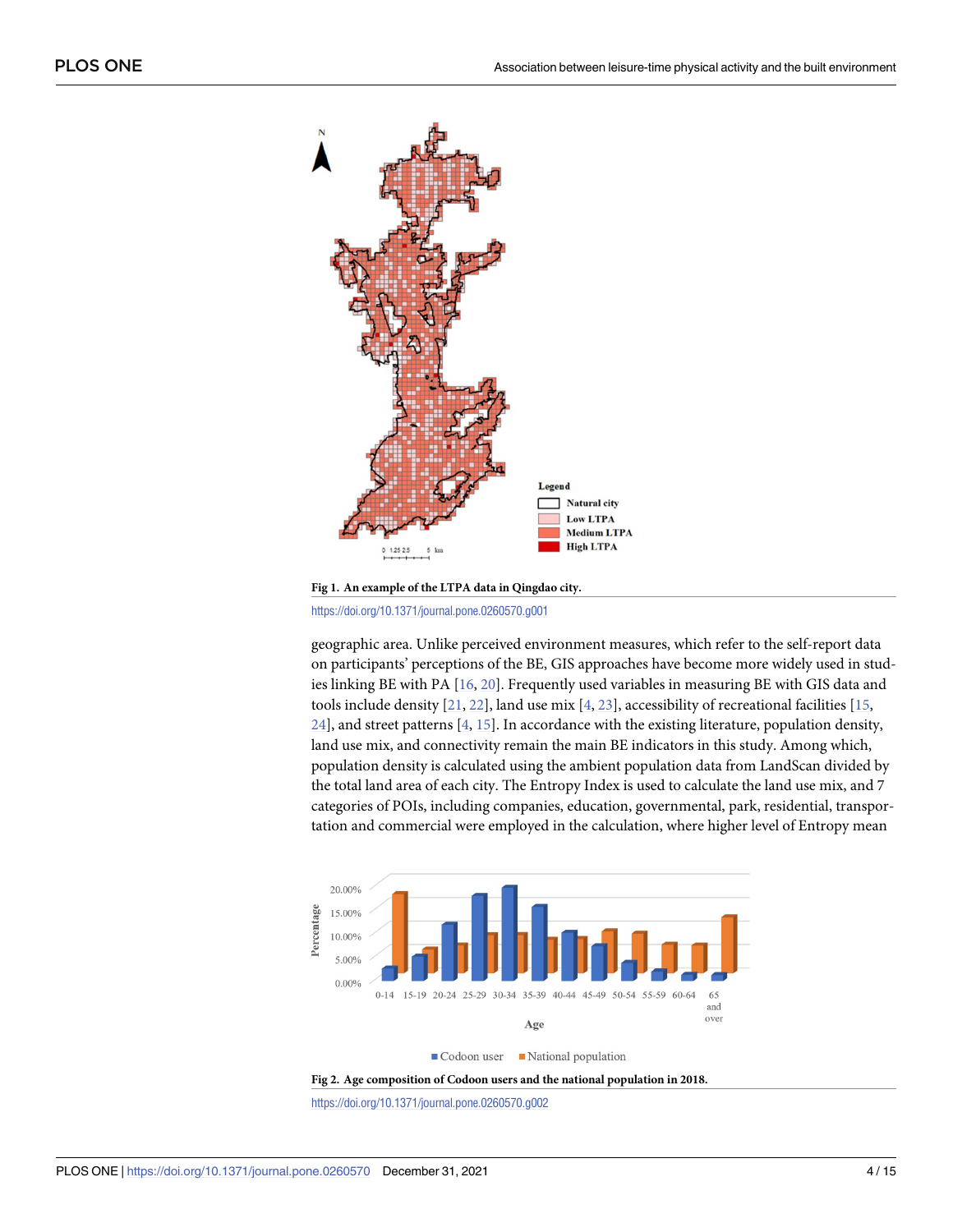<span id="page-3-0"></span>

**[Fig](#page-2-0) 1. An example of the LTPA data in Qingdao city.**

<https://doi.org/10.1371/journal.pone.0260570.g001>

geographic area. Unlike perceived environment measures, which refer to the self-report data on participants' perceptions of the BE, GIS approaches have become more widely used in studies linking BE with PA [\[16](#page-13-0), [20\]](#page-13-0). Frequently used variables in measuring BE with GIS data and tools include density  $[21, 22]$  $[21, 22]$  $[21, 22]$  $[21, 22]$  $[21, 22]$ , land use mix  $[4, 23]$  $[4, 23]$  $[4, 23]$ , accessibility of recreational facilities  $[15, 15]$  $[15, 15]$ [24\]](#page-13-0), and street patterns [[4](#page-12-0), [15](#page-12-0)]. In accordance with the existing literature, population density, land use mix, and connectivity remain the main BE indicators in this study. Among which, population density is calculated using the ambient population data from LandScan divided by the total land area of each city. The Entropy Index is used to calculate the land use mix, and 7 categories of POIs, including companies, education, governmental, park, residential, transportation and commercial were employed in the calculation, where higher level of Entropy mean





<https://doi.org/10.1371/journal.pone.0260570.g002>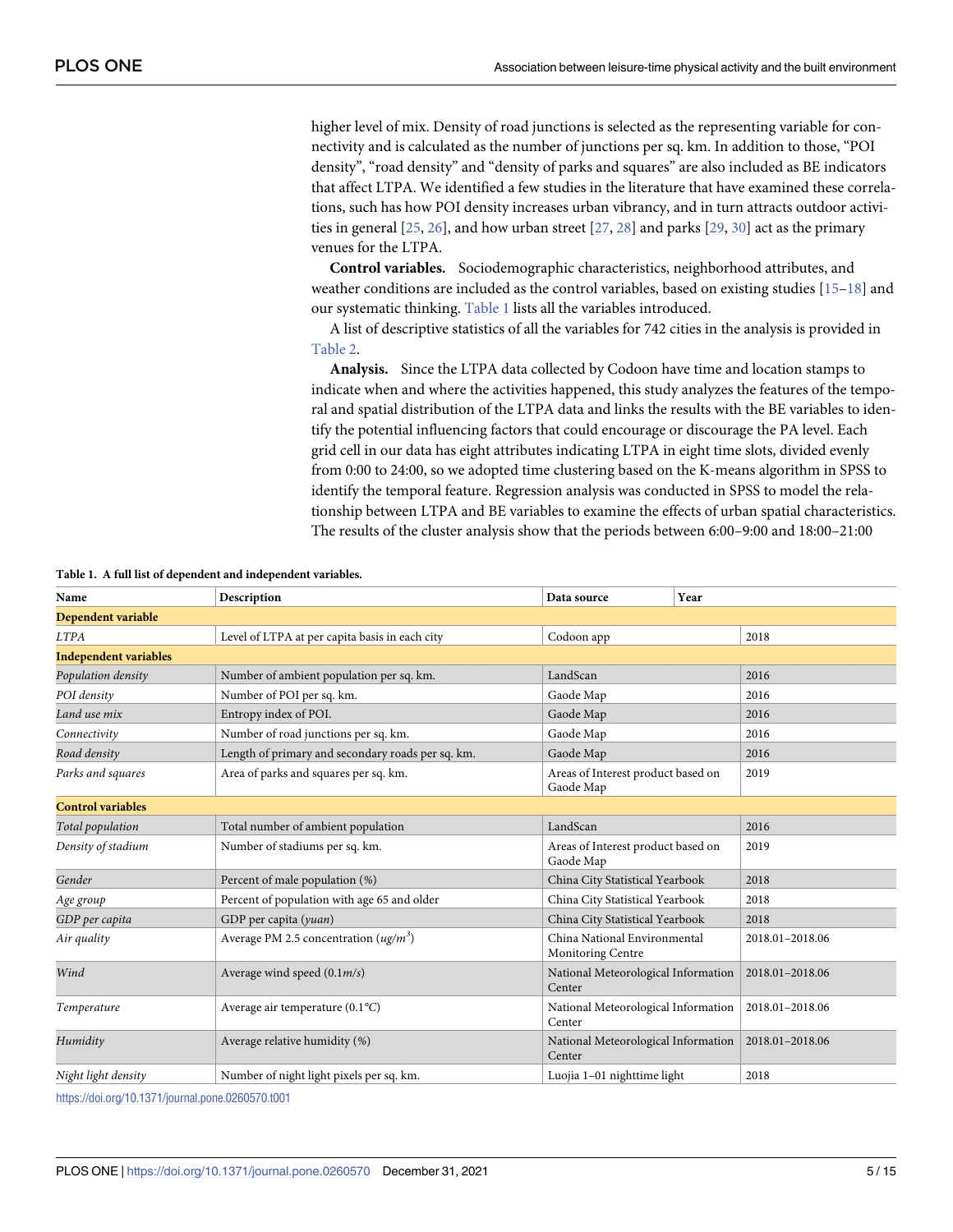<span id="page-4-0"></span>higher level of mix. Density of road junctions is selected as the representing variable for connectivity and is calculated as the number of junctions per sq. km. In addition to those, "POI density", "road density" and "density of parks and squares" are also included as BE indicators that affect LTPA. We identified a few studies in the literature that have examined these correlations, such has how POI density increases urban vibrancy, and in turn attracts outdoor activities in general  $[25, 26]$  $[25, 26]$  $[25, 26]$  $[25, 26]$  $[25, 26]$ , and how urban street  $[27, 28]$  $[27, 28]$  $[27, 28]$  and parks  $[29, 30]$  $[29, 30]$  $[29, 30]$  act as the primary venues for the LTPA.

**Control variables.** Sociodemographic characteristics, neighborhood attributes, and weather conditions are included as the control variables, based on existing studies [[15](#page-12-0)[–18\]](#page-13-0) and our systematic thinking. Table 1 lists all the variables introduced.

A list of descriptive statistics of all the variables for 742 cities in the analysis is provided in [Table](#page-5-0) 2.

**Analysis.** Since the LTPA data collected by Codoon have time and location stamps to indicate when and where the activities happened, this study analyzes the features of the temporal and spatial distribution of the LTPA data and links the results with the BE variables to identify the potential influencing factors that could encourage or discourage the PA level. Each grid cell in our data has eight attributes indicating LTPA in eight time slots, divided evenly from 0:00 to 24:00, so we adopted time clustering based on the K-means algorithm in SPSS to identify the temporal feature. Regression analysis was conducted in SPSS to model the relationship between LTPA and BE variables to examine the effects of urban spatial characteristics. The results of the cluster analysis show that the periods between 6:00–9:00 and 18:00–21:00

| Name                         | Description                                       | Year<br>Data source                               |                 |
|------------------------------|---------------------------------------------------|---------------------------------------------------|-----------------|
| Dependent variable           |                                                   |                                                   |                 |
| <b>LTPA</b>                  | Level of LTPA at per capita basis in each city    | Codoon app                                        | 2018            |
| <b>Independent variables</b> |                                                   |                                                   |                 |
| Population density           | Number of ambient population per sq. km.          | LandScan                                          | 2016            |
| POI density                  | Number of POI per sq. km.                         | Gaode Map                                         | 2016            |
| Land use mix                 | Entropy index of POI.                             | Gaode Map                                         | 2016            |
| Connectivity                 | Number of road junctions per sq. km.              | Gaode Map                                         | 2016            |
| Road density                 | Length of primary and secondary roads per sq. km. | Gaode Map                                         | 2016            |
| Parks and squares            | Area of parks and squares per sq. km.             | Areas of Interest product based on<br>Gaode Map   | 2019            |
| <b>Control variables</b>     |                                                   |                                                   |                 |
| Total population             | Total number of ambient population                | LandScan                                          | 2016            |
| Density of stadium           | Number of stadiums per sq. km.                    | Areas of Interest product based on<br>Gaode Map   | 2019            |
| Gender                       | Percent of male population (%)                    | China City Statistical Yearbook                   | 2018            |
| Age group                    | Percent of population with age 65 and older       | China City Statistical Yearbook                   | 2018            |
| GDP per capita               | GDP per capita (yuan)                             | China City Statistical Yearbook                   | 2018            |
| Air quality                  | Average PM 2.5 concentration $(ug/m^3)$           | China National Environmental<br>Monitoring Centre | 2018.01-2018.06 |
| Wind                         | Average wind speed $(0.1m/s)$                     | National Meteorological Information<br>Center     | 2018.01-2018.06 |
| Temperature                  | Average air temperature $(0.1^{\circ}C)$          | National Meteorological Information<br>Center     | 2018.01-2018.06 |
| Humidity                     | Average relative humidity (%)                     | National Meteorological Information<br>Center     | 2018.01-2018.06 |
| Night light density          | Number of night light pixels per sq. km.          | Luojia 1-01 nighttime light                       | 2018            |

**Table 1. A full list of dependent and independent variables.**

<https://doi.org/10.1371/journal.pone.0260570.t001>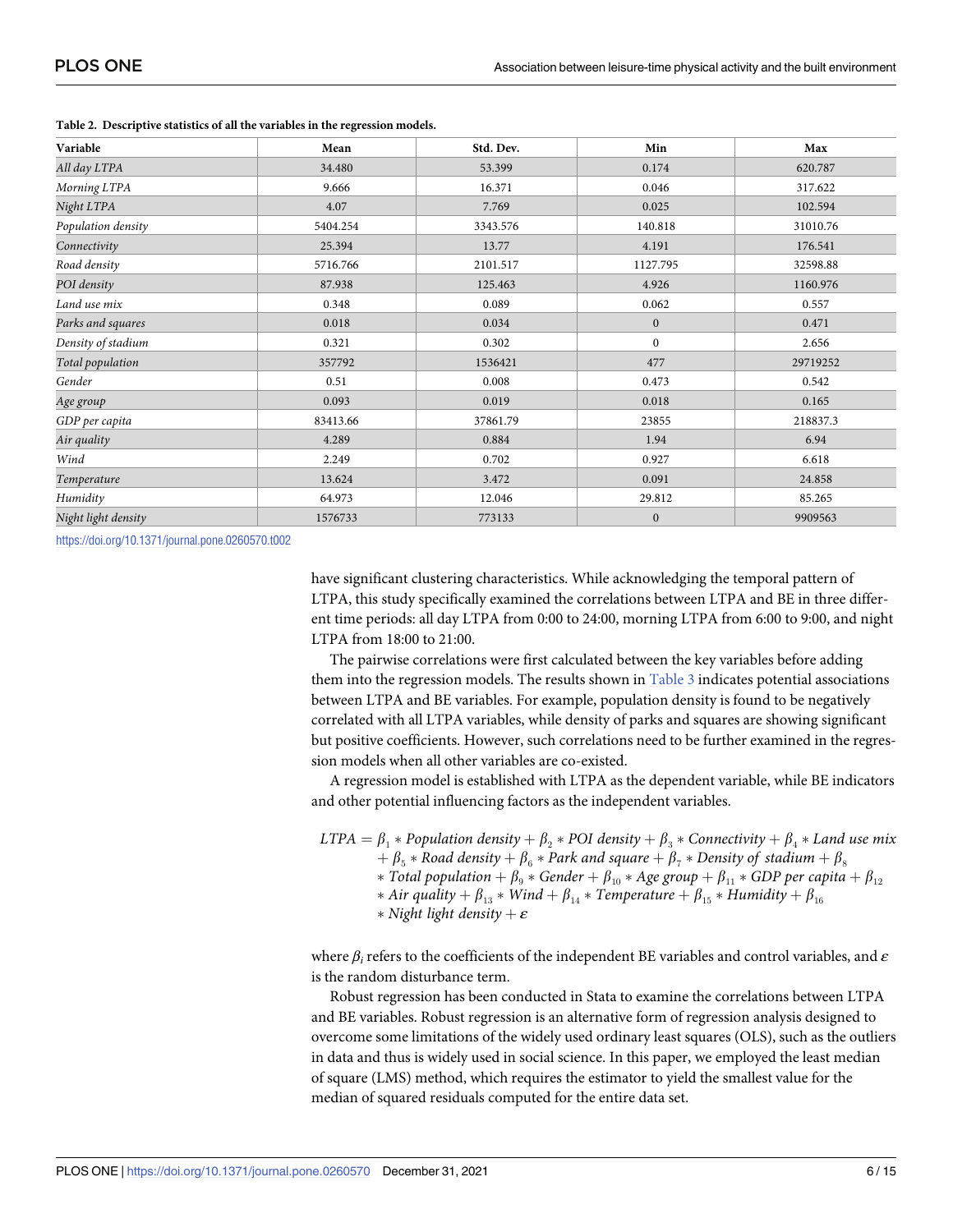| Variable            | Mean     | Std. Dev. | Min              | Max      |
|---------------------|----------|-----------|------------------|----------|
| All day LTPA        | 34.480   | 53.399    | 0.174            | 620.787  |
| Morning LTPA        | 9.666    | 16.371    | 0.046            | 317.622  |
| Night LTPA          | 4.07     | 7.769     | 0.025            | 102.594  |
| Population density  | 5404.254 | 3343.576  | 140.818          | 31010.76 |
| Connectivity        | 25.394   | 13.77     | 4.191            | 176.541  |
| Road density        | 5716.766 | 2101.517  | 1127.795         | 32598.88 |
| POI density         | 87.938   | 125.463   | 4.926            | 1160.976 |
| Land use mix        | 0.348    | 0.089     | 0.062            | 0.557    |
| Parks and squares   | 0.018    | 0.034     | $\mathbf{0}$     | 0.471    |
| Density of stadium  | 0.321    | 0.302     | $\boldsymbol{0}$ | 2.656    |
| Total population    | 357792   | 1536421   | 477              | 29719252 |
| Gender              | 0.51     | 0.008     | 0.473            | 0.542    |
| Age group           | 0.093    | 0.019     | 0.018            | 0.165    |
| GDP per capita      | 83413.66 | 37861.79  | 23855            | 218837.3 |
| Air quality         | 4.289    | 0.884     | 1.94             | 6.94     |
| Wind                | 2.249    | 0.702     | 0.927            | 6.618    |
| Temperature         | 13.624   | 3.472     | 0.091            | 24.858   |
| Humidity            | 64.973   | 12.046    | 29.812           | 85.265   |
| Night light density | 1576733  | 773133    | $\mathbf{0}$     | 9909563  |

<span id="page-5-0"></span>**[Table](#page-4-0) 2. Descriptive statistics of all the variables in the regression models.**

<https://doi.org/10.1371/journal.pone.0260570.t002>

have significant clustering characteristics. While acknowledging the temporal pattern of LTPA, this study specifically examined the correlations between LTPA and BE in three different time periods: all day LTPA from 0:00 to 24:00, morning LTPA from 6:00 to 9:00, and night LTPA from 18:00 to 21:00.

The pairwise correlations were first calculated between the key variables before adding them into the regression models. The results shown in [Table](#page-6-0) 3 indicates potential associations between LTPA and BE variables. For example, population density is found to be negatively correlated with all LTPA variables, while density of parks and squares are showing significant but positive coefficients. However, such correlations need to be further examined in the regression models when all other variables are co-existed.

A regression model is established with LTPA as the dependent variable, while BE indicators and other potential influencing factors as the independent variables.

*LTPA* =  $\beta_1$   $*$  *Population density* +  $\beta_2$   $*$  *POI density* +  $\beta_3$   $*$  *Connectivity* +  $\beta_4$   $*$  *Land use mix*  $\beta_5 *$  *Road density*  $+\beta_6 *$  *Park and square*  $+\beta_7 *$  *Density of stadium*  $+\beta_8$  $*$  *Total population* +  $\beta_9 *$  *Gender* +  $\beta_{10} *$  *Age group* +  $\beta_{11} *$  *GDP per capita* +  $\beta_{12}$  $*$  *Air quality* +  $\beta_{13}$   $*$  *Wind* +  $\beta_{14}$   $*$  *Temperature* +  $\beta_{15}$   $*$  *Humidity* +  $\beta_{16}$  $*$  *Night light density* +  $\varepsilon$ 

where *β<sup>i</sup>* refers to the coefficients of the independent BE variables and control variables, and *ε* is the random disturbance term.

Robust regression has been conducted in Stata to examine the correlations between LTPA and BE variables. Robust regression is an alternative form of regression analysis designed to overcome some limitations of the widely used ordinary least squares (OLS), such as the outliers in data and thus is widely used in social science. In this paper, we employed the least median of square (LMS) method, which requires the estimator to yield the smallest value for the median of squared residuals computed for the entire data set.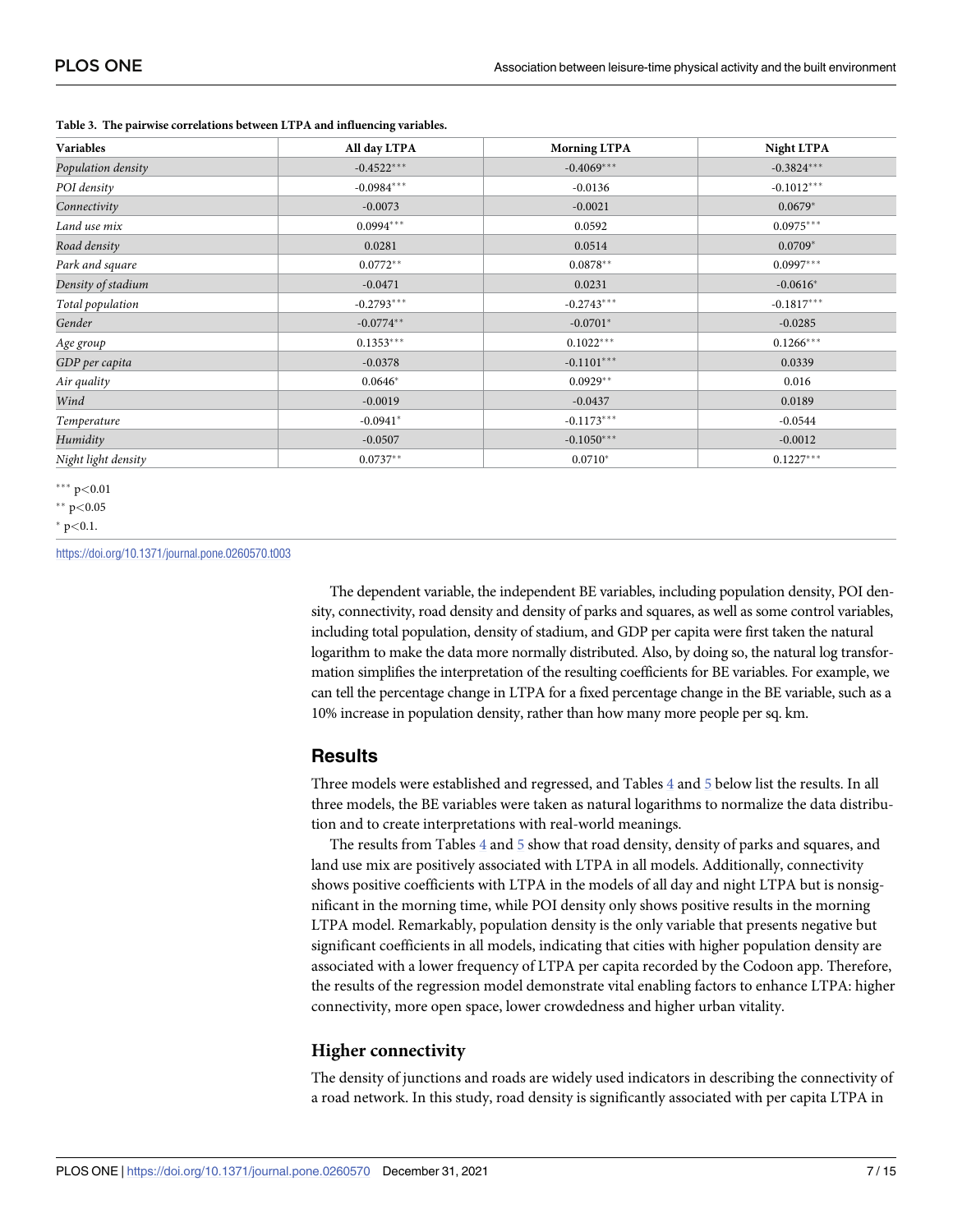| Variables           | All day LTPA | <b>Morning LTPA</b> | <b>Night LTPA</b> |  |
|---------------------|--------------|---------------------|-------------------|--|
| Population density  | $-0.4522***$ | $-0.4069***$        | $-0.3824***$      |  |
| POI density         | $-0.0984***$ | $-0.0136$           | $-0.1012***$      |  |
| Connectivity        | $-0.0073$    | $-0.0021$           | $0.0679*$         |  |
| Land use mix        | $0.0994***$  | 0.0592              | $0.0975***$       |  |
| Road density        | 0.0281       | 0.0514              | $0.0709*$         |  |
| Park and square     | $0.0772**$   | $0.0878**$          | $0.0997***$       |  |
| Density of stadium  | $-0.0471$    | 0.0231              | $-0.0616*$        |  |
| Total population    | $-0.2793***$ | $-0.2743***$        | $-0.1817***$      |  |
| Gender              | $-0.0774**$  | $-0.0701*$          | $-0.0285$         |  |
| Age group           | $0.1353***$  | $0.1022***$         | $0.1266***$       |  |
| GDP per capita      | $-0.0378$    | $-0.1101***$        | 0.0339            |  |
| Air quality         | $0.0646*$    | $0.0929**$          | 0.016             |  |
| Wind                | $-0.0019$    | $-0.0437$           | 0.0189            |  |
| Temperature         | $-0.0941*$   | $-0.1173***$        | $-0.0544$         |  |
| Humidity            | $-0.0507$    | $-0.1050***$        | $-0.0012$         |  |
| Night light density | $0.0737**$   | $0.0710*$           | $0.1227***$       |  |

<span id="page-6-0"></span>**[Table](#page-5-0) 3. The pairwise correlations between LTPA and influencing variables.**

��� p*<*0.01

�� p*<*0.05

� p*<*0.1.

<https://doi.org/10.1371/journal.pone.0260570.t003>

The dependent variable, the independent BE variables, including population density, POI density, connectivity, road density and density of parks and squares, as well as some control variables, including total population, density of stadium, and GDP per capita were first taken the natural logarithm to make the data more normally distributed. Also, by doing so, the natural log transformation simplifies the interpretation of the resulting coefficients for BE variables. For example, we can tell the percentage change in LTPA for a fixed percentage change in the BE variable, such as a 10% increase in population density, rather than how many more people per sq. km.

#### **Results**

Three models were established and regressed, and Tables [4](#page-7-0) and [5](#page-8-0) below list the results. In all three models, the BE variables were taken as natural logarithms to normalize the data distribution and to create interpretations with real-world meanings.

The results from Tables [4](#page-7-0) and [5](#page-8-0) show that road density, density of parks and squares, and land use mix are positively associated with LTPA in all models. Additionally, connectivity shows positive coefficients with LTPA in the models of all day and night LTPA but is nonsignificant in the morning time, while POI density only shows positive results in the morning LTPA model. Remarkably, population density is the only variable that presents negative but significant coefficients in all models, indicating that cities with higher population density are associated with a lower frequency of LTPA per capita recorded by the Codoon app. Therefore, the results of the regression model demonstrate vital enabling factors to enhance LTPA: higher connectivity, more open space, lower crowdedness and higher urban vitality.

#### **Higher connectivity**

The density of junctions and roads are widely used indicators in describing the connectivity of a road network. In this study, road density is significantly associated with per capita LTPA in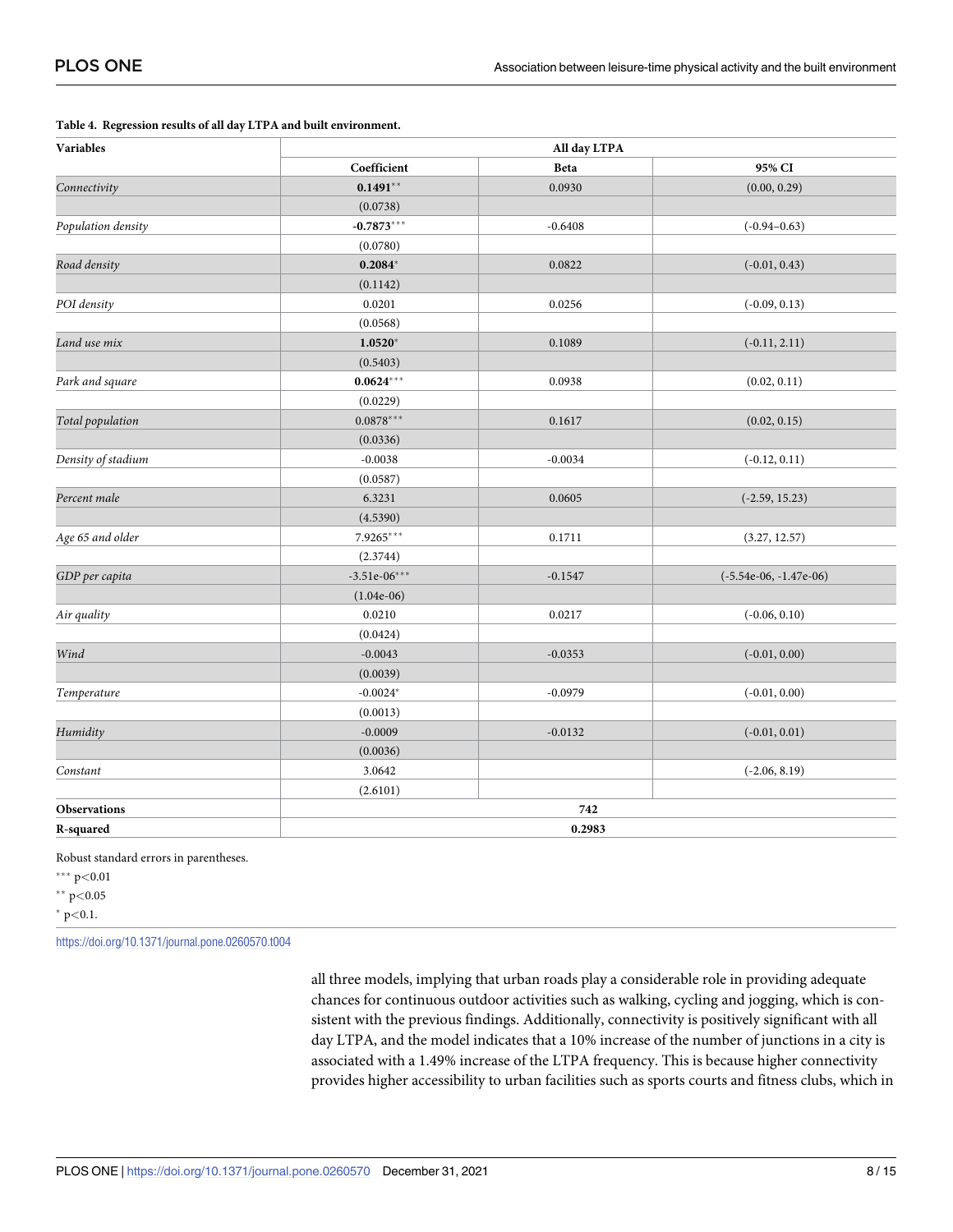| Variables          | All day LTPA   |           |                          |  |
|--------------------|----------------|-----------|--------------------------|--|
|                    | Coefficient    | Beta      | 95% CI                   |  |
| Connectivity       | $0.1491**$     | 0.0930    | (0.00, 0.29)             |  |
|                    | (0.0738)       |           |                          |  |
| Population density | $-0.7873***$   | $-0.6408$ | $(-0.94 - 0.63)$         |  |
|                    | (0.0780)       |           |                          |  |
| Road density       | $0.2084*$      | 0.0822    | $(-0.01, 0.43)$          |  |
|                    | (0.1142)       |           |                          |  |
| POI density        | 0.0201         | 0.0256    | $(-0.09, 0.13)$          |  |
|                    | (0.0568)       |           |                          |  |
| Land use mix       | $1.0520*$      | 0.1089    | $(-0.11, 2.11)$          |  |
|                    | (0.5403)       |           |                          |  |
| Park and square    | $0.0624***$    | 0.0938    | (0.02, 0.11)             |  |
|                    | (0.0229)       |           |                          |  |
| Total population   | $0.0878***$    | 0.1617    | (0.02, 0.15)             |  |
|                    | (0.0336)       |           |                          |  |
| Density of stadium | $-0.0038$      | $-0.0034$ | $(-0.12, 0.11)$          |  |
|                    | (0.0587)       |           |                          |  |
| Percent male       | 6.3231         | 0.0605    | $(-2.59, 15.23)$         |  |
|                    | (4.5390)       |           |                          |  |
| Age 65 and older   | $7.9265***$    | 0.1711    | (3.27, 12.57)            |  |
|                    | (2.3744)       |           |                          |  |
| GDP per capita     | $-3.51e-06***$ | $-0.1547$ | $(-5.54e-06, -1.47e-06)$ |  |
|                    | $(1.04e-06)$   |           |                          |  |
| Air quality        | 0.0210         | 0.0217    | $(-0.06, 0.10)$          |  |
|                    | (0.0424)       |           |                          |  |
| Wind               | $-0.0043$      | $-0.0353$ | $(-0.01, 0.00)$          |  |
|                    | (0.0039)       |           |                          |  |
| Temperature        | $-0.0024*$     | $-0.0979$ | $(-0.01, 0.00)$          |  |
|                    | (0.0013)       |           |                          |  |
| Humidity           | $-0.0009$      | $-0.0132$ | $(-0.01, 0.01)$          |  |
|                    | (0.0036)       |           |                          |  |
| Constant           | 3.0642         |           | $(-2.06, 8.19)$          |  |
|                    | (2.6101)       |           |                          |  |
| Observations       |                | 742       |                          |  |
| R-squared          |                | 0.2983    |                          |  |

#### <span id="page-7-0"></span>**[Table](#page-6-0) 4. Regression results of all day LTPA and built environment.**

Robust standard errors in parentheses.

��� p*<*0.01

�� p*<*0.05

� p*<*0.1.

<https://doi.org/10.1371/journal.pone.0260570.t004>

all three models, implying that urban roads play a considerable role in providing adequate chances for continuous outdoor activities such as walking, cycling and jogging, which is consistent with the previous findings. Additionally, connectivity is positively significant with all day LTPA, and the model indicates that a 10% increase of the number of junctions in a city is associated with a 1.49% increase of the LTPA frequency. This is because higher connectivity provides higher accessibility to urban facilities such as sports courts and fitness clubs, which in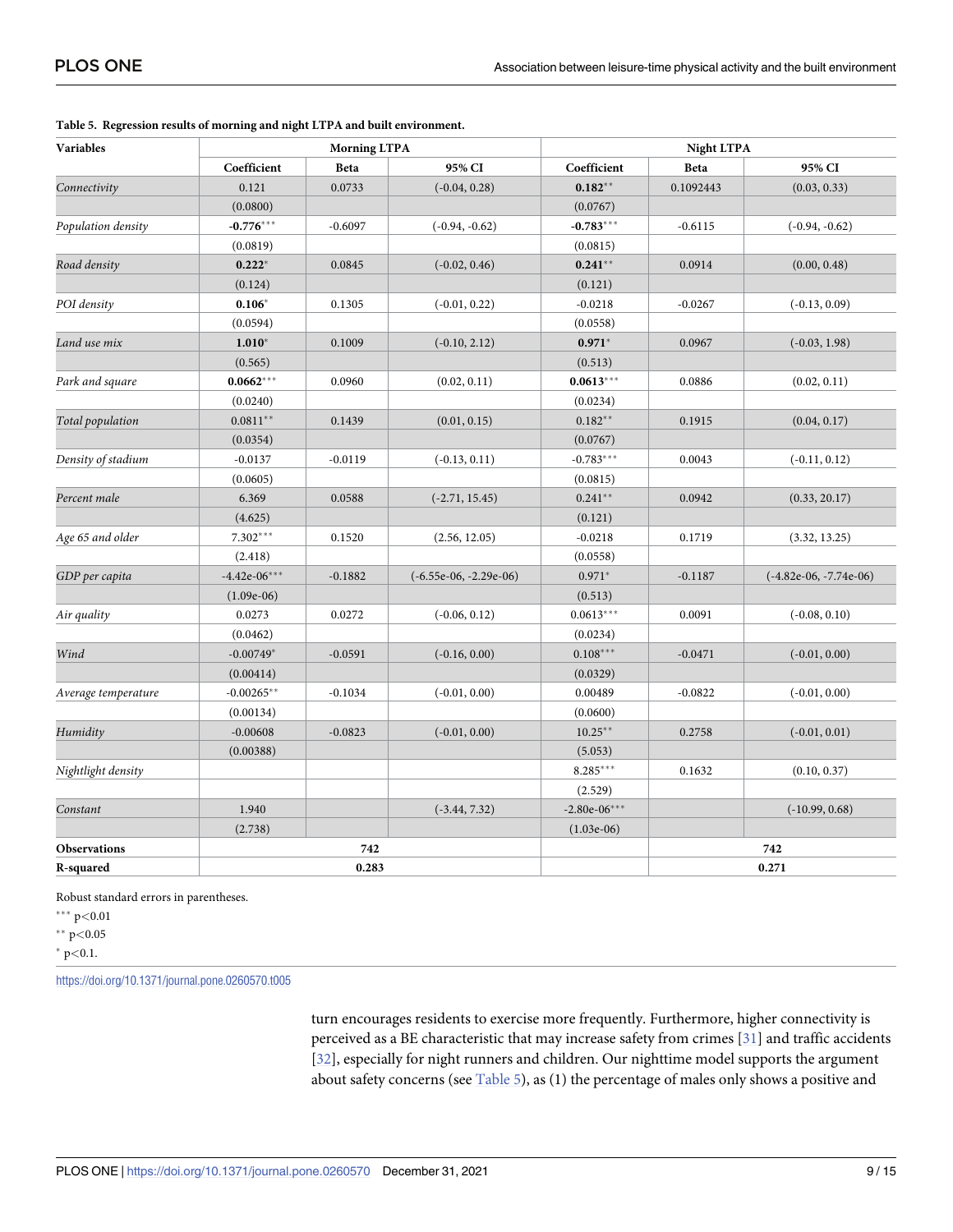| Variables           | <b>Morning LTPA</b> |           |                          | <b>Night LTPA</b> |           |                          |
|---------------------|---------------------|-----------|--------------------------|-------------------|-----------|--------------------------|
|                     | Coefficient         | Beta      | 95% CI                   | Coefficient       | Beta      | 95% CI                   |
| Connectivity        | 0.121               | 0.0733    | $(-0.04, 0.28)$          | $0.182**$         | 0.1092443 | (0.03, 0.33)             |
|                     | (0.0800)            |           |                          | (0.0767)          |           |                          |
| Population density  | $-0.776***$         | $-0.6097$ | $(-0.94, -0.62)$         | $-0.783***$       | $-0.6115$ | $(-0.94, -0.62)$         |
|                     | (0.0819)            |           |                          | (0.0815)          |           |                          |
| Road density        | $0.222*$            | 0.0845    | $(-0.02, 0.46)$          | $0.241**$         | 0.0914    | (0.00, 0.48)             |
|                     | (0.124)             |           |                          | (0.121)           |           |                          |
| POI density         | $0.106*$            | 0.1305    | $(-0.01, 0.22)$          | $-0.0218$         | $-0.0267$ | $(-0.13, 0.09)$          |
|                     | (0.0594)            |           |                          | (0.0558)          |           |                          |
| Land use mix        | $1.010*$            | 0.1009    | $(-0.10, 2.12)$          | $0.971*$          | 0.0967    | $(-0.03, 1.98)$          |
|                     | (0.565)             |           |                          | (0.513)           |           |                          |
| Park and square     | $0.0662***$         | 0.0960    | (0.02, 0.11)             | $0.0613***$       | 0.0886    | (0.02, 0.11)             |
|                     | (0.0240)            |           |                          | (0.0234)          |           |                          |
| Total population    | $0.0811**$          | 0.1439    | (0.01, 0.15)             | $0.182**$         | 0.1915    | (0.04, 0.17)             |
|                     | (0.0354)            |           |                          | (0.0767)          |           |                          |
| Density of stadium  | $-0.0137$           | $-0.0119$ | $(-0.13, 0.11)$          | $-0.783***$       | 0.0043    | $(-0.11, 0.12)$          |
|                     | (0.0605)            |           |                          | (0.0815)          |           |                          |
| Percent male        | 6.369               | 0.0588    | $(-2.71, 15.45)$         | $0.241**$         | 0.0942    | (0.33, 20.17)            |
|                     | (4.625)             |           |                          | (0.121)           |           |                          |
| Age 65 and older    | $7.302***$          | 0.1520    | (2.56, 12.05)            | $-0.0218$         | 0.1719    | (3.32, 13.25)            |
|                     | (2.418)             |           |                          | (0.0558)          |           |                          |
| GDP per capita      | $-4.42e-06***$      | $-0.1882$ | $(-6.55e-06, -2.29e-06)$ | $0.971*$          | $-0.1187$ | $(-4.82e-06, -7.74e-06)$ |
|                     | $(1.09e-06)$        |           |                          | (0.513)           |           |                          |
| Air quality         | 0.0273              | 0.0272    | $(-0.06, 0.12)$          | $0.0613***$       | 0.0091    | $(-0.08, 0.10)$          |
|                     | (0.0462)            |           |                          | (0.0234)          |           |                          |
| Wind                | $-0.00749*$         | $-0.0591$ | $(-0.16, 0.00)$          | $0.108***$        | $-0.0471$ | $(-0.01, 0.00)$          |
|                     | (0.00414)           |           |                          | (0.0329)          |           |                          |
| Average temperature | $-0.00265**$        | $-0.1034$ | $(-0.01, 0.00)$          | 0.00489           | $-0.0822$ | $(-0.01, 0.00)$          |
|                     | (0.00134)           |           |                          | (0.0600)          |           |                          |
| Humidity            | $-0.00608$          | $-0.0823$ | $(-0.01, 0.00)$          | $10.25***$        | 0.2758    | $(-0.01, 0.01)$          |
|                     | (0.00388)           |           |                          | (5.053)           |           |                          |
| Nightlight density  |                     |           |                          | 8.285***          | 0.1632    | (0.10, 0.37)             |
|                     |                     |           |                          | (2.529)           |           |                          |
| Constant            | 1.940               |           | $(-3.44, 7.32)$          | $-2.80e-06***$    |           | $(-10.99, 0.68)$         |
|                     | (2.738)             |           |                          | $(1.03e-06)$      |           |                          |
| <b>Observations</b> |                     | 742       |                          |                   |           | 742                      |
| R-squared           |                     | 0.283     |                          |                   |           | 0.271                    |

<span id="page-8-0"></span>**[Table](#page-6-0) 5. Regression results of morning and night LTPA and built environment.**

Robust standard errors in parentheses.

��� p*<*0.01

�� p*<*0.05

� p*<*0.1.

<https://doi.org/10.1371/journal.pone.0260570.t005>

turn encourages residents to exercise more frequently. Furthermore, higher connectivity is perceived as a BE characteristic that may increase safety from crimes [\[31\]](#page-13-0) and traffic accidents [\[32\]](#page-13-0), especially for night runners and children. Our nighttime model supports the argument about safety concerns (see Table 5), as  $(1)$  the percentage of males only shows a positive and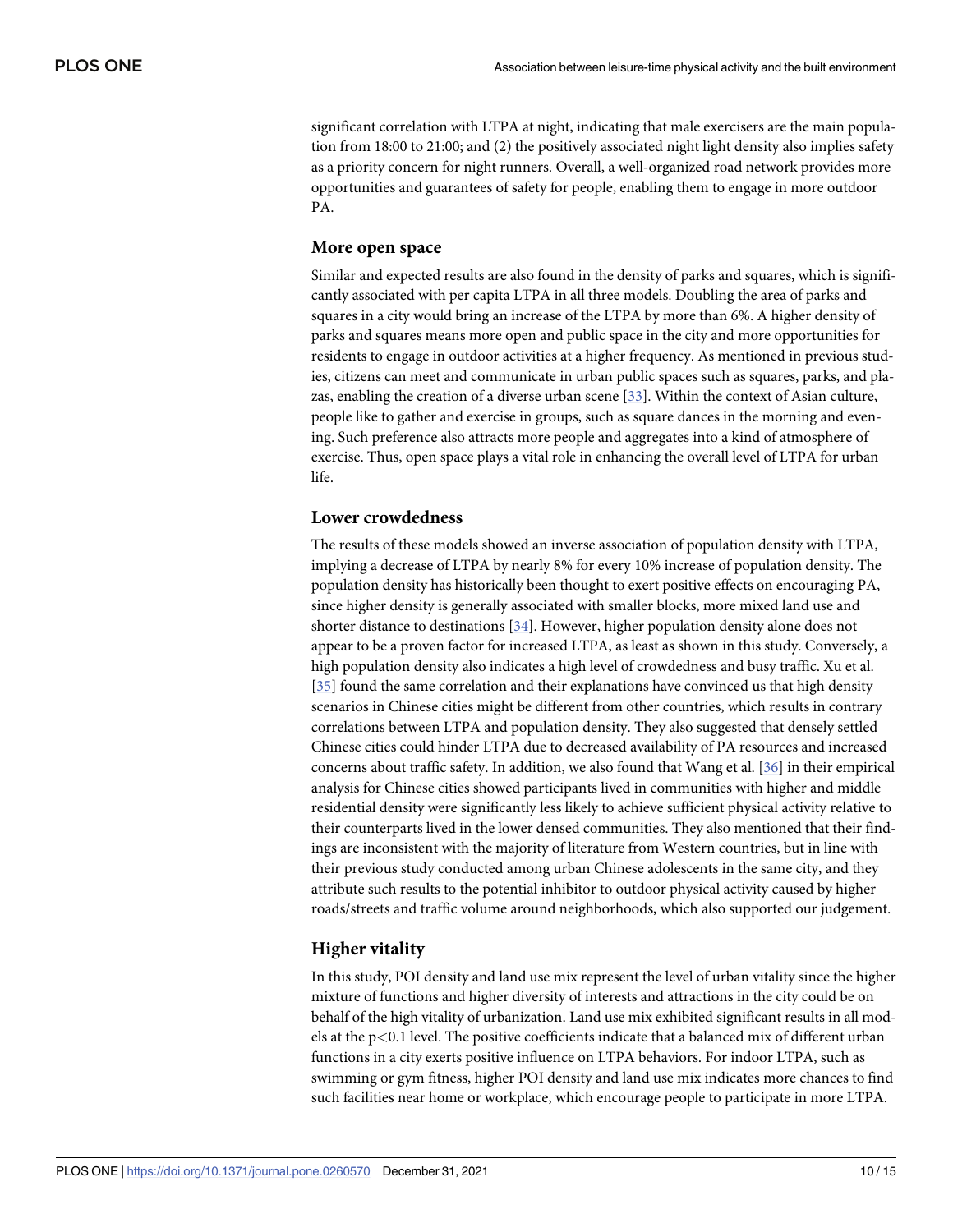<span id="page-9-0"></span>significant correlation with LTPA at night, indicating that male exercisers are the main population from 18:00 to 21:00; and (2) the positively associated night light density also implies safety as a priority concern for night runners. Overall, a well-organized road network provides more opportunities and guarantees of safety for people, enabling them to engage in more outdoor PA.

#### **More open space**

Similar and expected results are also found in the density of parks and squares, which is significantly associated with per capita LTPA in all three models. Doubling the area of parks and squares in a city would bring an increase of the LTPA by more than 6%. A higher density of parks and squares means more open and public space in the city and more opportunities for residents to engage in outdoor activities at a higher frequency. As mentioned in previous studies, citizens can meet and communicate in urban public spaces such as squares, parks, and plazas, enabling the creation of a diverse urban scene [\[33\]](#page-13-0). Within the context of Asian culture, people like to gather and exercise in groups, such as square dances in the morning and evening. Such preference also attracts more people and aggregates into a kind of atmosphere of exercise. Thus, open space plays a vital role in enhancing the overall level of LTPA for urban life.

#### **Lower crowdedness**

The results of these models showed an inverse association of population density with LTPA, implying a decrease of LTPA by nearly 8% for every 10% increase of population density. The population density has historically been thought to exert positive effects on encouraging PA, since higher density is generally associated with smaller blocks, more mixed land use and shorter distance to destinations [\[34\]](#page-13-0). However, higher population density alone does not appear to be a proven factor for increased LTPA, as least as shown in this study. Conversely, a high population density also indicates a high level of crowdedness and busy traffic. Xu et al. [\[35\]](#page-13-0) found the same correlation and their explanations have convinced us that high density scenarios in Chinese cities might be different from other countries, which results in contrary correlations between LTPA and population density. They also suggested that densely settled Chinese cities could hinder LTPA due to decreased availability of PA resources and increased concerns about traffic safety. In addition, we also found that Wang et al. [[36](#page-13-0)] in their empirical analysis for Chinese cities showed participants lived in communities with higher and middle residential density were significantly less likely to achieve sufficient physical activity relative to their counterparts lived in the lower densed communities. They also mentioned that their findings are inconsistent with the majority of literature from Western countries, but in line with their previous study conducted among urban Chinese adolescents in the same city, and they attribute such results to the potential inhibitor to outdoor physical activity caused by higher roads/streets and traffic volume around neighborhoods, which also supported our judgement.

#### **Higher vitality**

In this study, POI density and land use mix represent the level of urban vitality since the higher mixture of functions and higher diversity of interests and attractions in the city could be on behalf of the high vitality of urbanization. Land use mix exhibited significant results in all models at the p*<*0.1 level. The positive coefficients indicate that a balanced mix of different urban functions in a city exerts positive influence on LTPA behaviors. For indoor LTPA, such as swimming or gym fitness, higher POI density and land use mix indicates more chances to find such facilities near home or workplace, which encourage people to participate in more LTPA.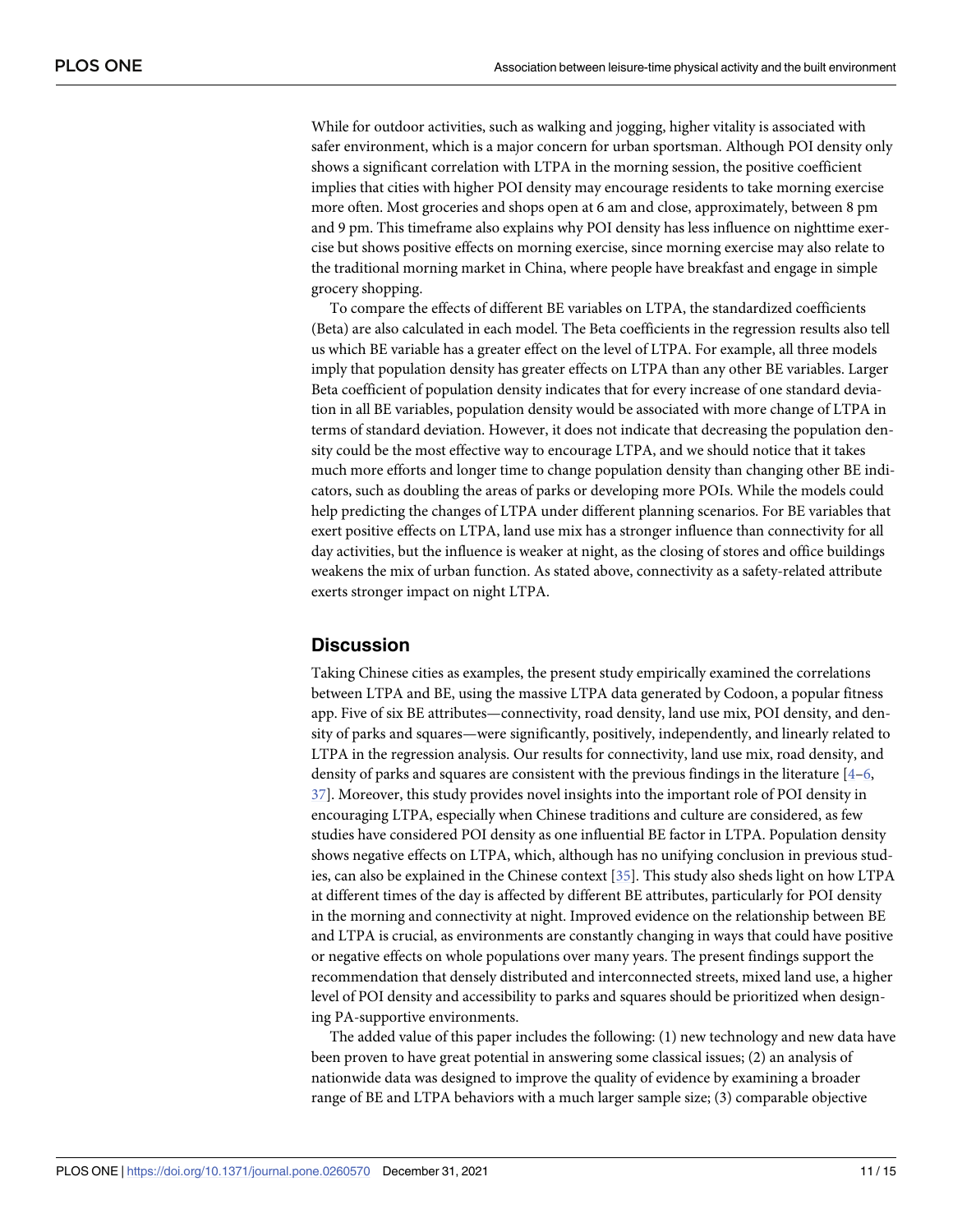<span id="page-10-0"></span>While for outdoor activities, such as walking and jogging, higher vitality is associated with safer environment, which is a major concern for urban sportsman. Although POI density only shows a significant correlation with LTPA in the morning session, the positive coefficient implies that cities with higher POI density may encourage residents to take morning exercise more often. Most groceries and shops open at 6 am and close, approximately, between 8 pm and 9 pm. This timeframe also explains why POI density has less influence on nighttime exercise but shows positive effects on morning exercise, since morning exercise may also relate to the traditional morning market in China, where people have breakfast and engage in simple grocery shopping.

To compare the effects of different BE variables on LTPA, the standardized coefficients (Beta) are also calculated in each model. The Beta coefficients in the regression results also tell us which BE variable has a greater effect on the level of LTPA. For example, all three models imply that population density has greater effects on LTPA than any other BE variables. Larger Beta coefficient of population density indicates that for every increase of one standard deviation in all BE variables, population density would be associated with more change of LTPA in terms of standard deviation. However, it does not indicate that decreasing the population density could be the most effective way to encourage LTPA, and we should notice that it takes much more efforts and longer time to change population density than changing other BE indicators, such as doubling the areas of parks or developing more POIs. While the models could help predicting the changes of LTPA under different planning scenarios. For BE variables that exert positive effects on LTPA, land use mix has a stronger influence than connectivity for all day activities, but the influence is weaker at night, as the closing of stores and office buildings weakens the mix of urban function. As stated above, connectivity as a safety-related attribute exerts stronger impact on night LTPA.

#### **Discussion**

Taking Chinese cities as examples, the present study empirically examined the correlations between LTPA and BE, using the massive LTPA data generated by Codoon, a popular fitness app. Five of six BE attributes—connectivity, road density, land use mix, POI density, and density of parks and squares—were significantly, positively, independently, and linearly related to LTPA in the regression analysis. Our results for connectivity, land use mix, road density, and density of parks and squares are consistent with the previous findings in the literature  $[4-6, 1]$ [37\]](#page-14-0). Moreover, this study provides novel insights into the important role of POI density in encouraging LTPA, especially when Chinese traditions and culture are considered, as few studies have considered POI density as one influential BE factor in LTPA. Population density shows negative effects on LTPA, which, although has no unifying conclusion in previous studies, can also be explained in the Chinese context [[35](#page-13-0)]. This study also sheds light on how LTPA at different times of the day is affected by different BE attributes, particularly for POI density in the morning and connectivity at night. Improved evidence on the relationship between BE and LTPA is crucial, as environments are constantly changing in ways that could have positive or negative effects on whole populations over many years. The present findings support the recommendation that densely distributed and interconnected streets, mixed land use, a higher level of POI density and accessibility to parks and squares should be prioritized when designing PA-supportive environments.

The added value of this paper includes the following: (1) new technology and new data have been proven to have great potential in answering some classical issues; (2) an analysis of nationwide data was designed to improve the quality of evidence by examining a broader range of BE and LTPA behaviors with a much larger sample size; (3) comparable objective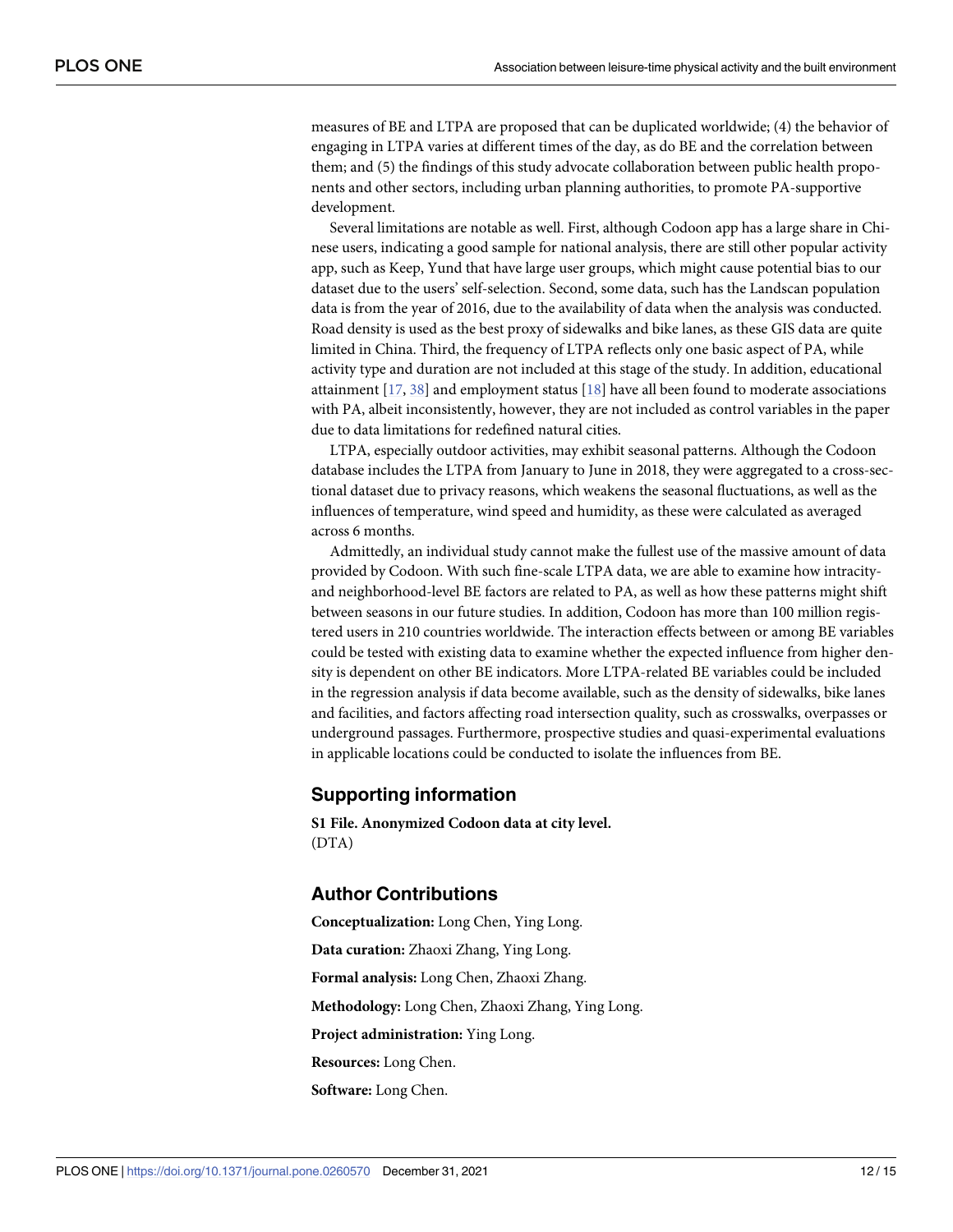<span id="page-11-0"></span>measures of BE and LTPA are proposed that can be duplicated worldwide; (4) the behavior of engaging in LTPA varies at different times of the day, as do BE and the correlation between them; and (5) the findings of this study advocate collaboration between public health proponents and other sectors, including urban planning authorities, to promote PA-supportive development.

Several limitations are notable as well. First, although Codoon app has a large share in Chinese users, indicating a good sample for national analysis, there are still other popular activity app, such as Keep, Yund that have large user groups, which might cause potential bias to our dataset due to the users' self-selection. Second, some data, such has the Landscan population data is from the year of 2016, due to the availability of data when the analysis was conducted. Road density is used as the best proxy of sidewalks and bike lanes, as these GIS data are quite limited in China. Third, the frequency of LTPA reflects only one basic aspect of PA, while activity type and duration are not included at this stage of the study. In addition, educational attainment [\[17,](#page-13-0) [38\]](#page-14-0) and employment status [[18](#page-13-0)] have all been found to moderate associations with PA, albeit inconsistently, however, they are not included as control variables in the paper due to data limitations for redefined natural cities.

LTPA, especially outdoor activities, may exhibit seasonal patterns. Although the Codoon database includes the LTPA from January to June in 2018, they were aggregated to a cross-sectional dataset due to privacy reasons, which weakens the seasonal fluctuations, as well as the influences of temperature, wind speed and humidity, as these were calculated as averaged across 6 months.

Admittedly, an individual study cannot make the fullest use of the massive amount of data provided by Codoon. With such fine-scale LTPA data, we are able to examine how intracityand neighborhood-level BE factors are related to PA, as well as how these patterns might shift between seasons in our future studies. In addition, Codoon has more than 100 million registered users in 210 countries worldwide. The interaction effects between or among BE variables could be tested with existing data to examine whether the expected influence from higher density is dependent on other BE indicators. More LTPA-related BE variables could be included in the regression analysis if data become available, such as the density of sidewalks, bike lanes and facilities, and factors affecting road intersection quality, such as crosswalks, overpasses or underground passages. Furthermore, prospective studies and quasi-experimental evaluations in applicable locations could be conducted to isolate the influences from BE.

#### **Supporting information**

**S1 [File.](http://www.plosone.org/article/fetchSingleRepresentation.action?uri=info:doi/10.1371/journal.pone.0260570.s001) Anonymized Codoon data at city level.** (DTA)

#### **Author Contributions**

**Conceptualization:** Long Chen, Ying Long. **Data curation:** Zhaoxi Zhang, Ying Long. **Formal analysis:** Long Chen, Zhaoxi Zhang. **Methodology:** Long Chen, Zhaoxi Zhang, Ying Long. **Project administration:** Ying Long. **Resources:** Long Chen. **Software:** Long Chen.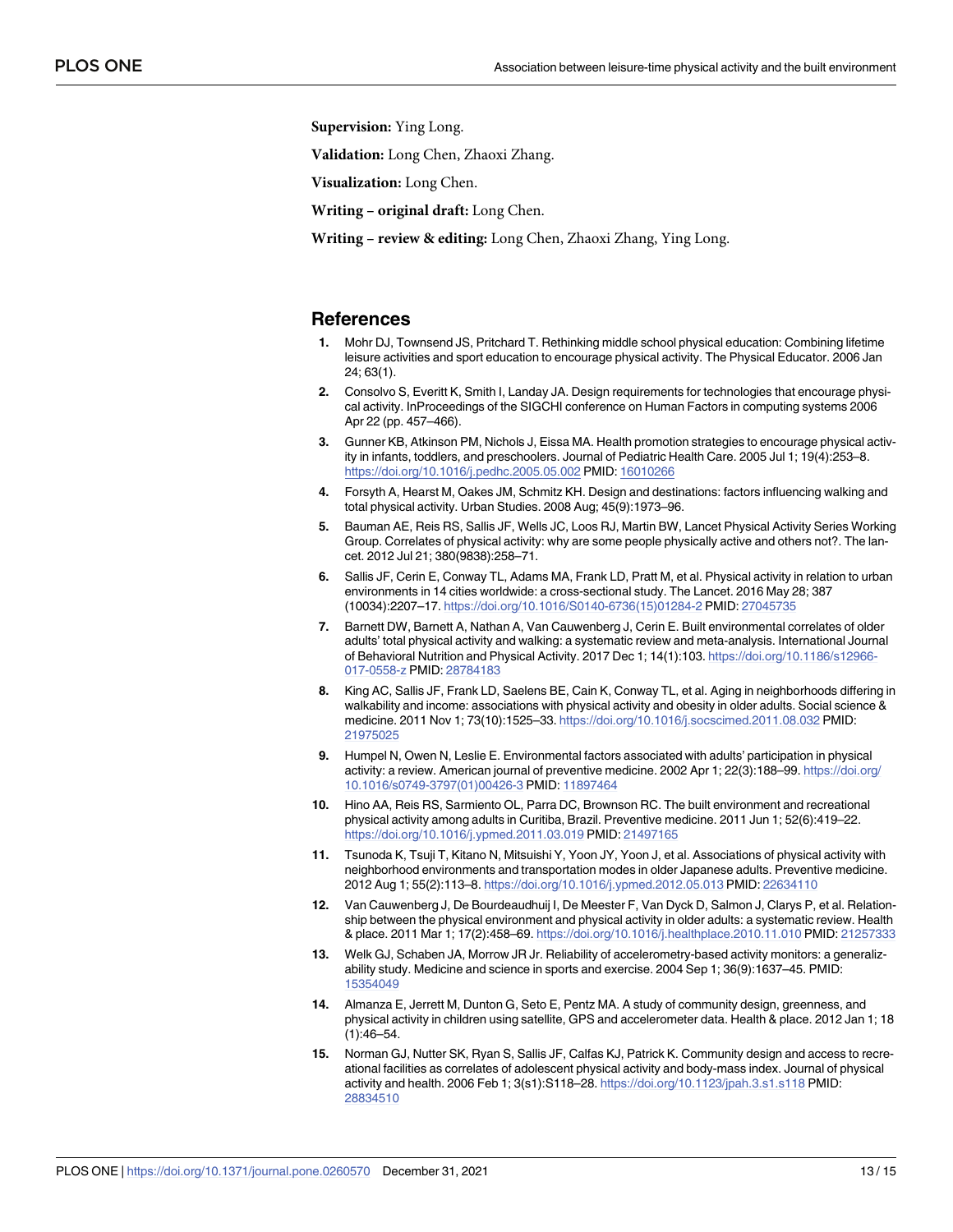<span id="page-12-0"></span>**Supervision:** Ying Long.

**Validation:** Long Chen, Zhaoxi Zhang.

**Visualization:** Long Chen.

**Writing – original draft:** Long Chen.

**Writing – review & editing:** Long Chen, Zhaoxi Zhang, Ying Long.

#### **References**

- **[1](#page-0-0).** Mohr DJ, Townsend JS, Pritchard T. Rethinking middle school physical education: Combining lifetime leisure activities and sport education to encourage physical activity. The Physical Educator. 2006 Jan 24; 63(1).
- **[2](#page-0-0).** Consolvo S, Everitt K, Smith I, Landay JA. Design requirements for technologies that encourage physical activity. InProceedings of the SIGCHI conference on Human Factors in computing systems 2006 Apr 22 (pp. 457–466).
- **[3](#page-0-0).** Gunner KB, Atkinson PM, Nichols J, Eissa MA. Health promotion strategies to encourage physical activity in infants, toddlers, and preschoolers. Journal of Pediatric Health Care. 2005 Jul 1; 19(4):253–8. <https://doi.org/10.1016/j.pedhc.2005.05.002> PMID: [16010266](http://www.ncbi.nlm.nih.gov/pubmed/16010266)
- **[4](#page-0-0).** Forsyth A, Hearst M, Oakes JM, Schmitz KH. Design and destinations: factors influencing walking and total physical activity. Urban Studies. 2008 Aug; 45(9):1973–96.
- **5.** Bauman AE, Reis RS, Sallis JF, Wells JC, Loos RJ, Martin BW, Lancet Physical Activity Series Working Group. Correlates of physical activity: why are some people physically active and others not?. The lancet. 2012 Jul 21; 380(9838):258–71.
- **[6](#page-0-0).** Sallis JF, Cerin E, Conway TL, Adams MA, Frank LD, Pratt M, et al. Physical activity in relation to urban environments in 14 cities worldwide: a cross-sectional study. The Lancet. 2016 May 28; 387 (10034):2207–17. [https://doi.org/10.1016/S0140-6736\(15\)01284-2](https://doi.org/10.1016/S0140-6736%2815%2901284-2) PMID: [27045735](http://www.ncbi.nlm.nih.gov/pubmed/27045735)
- **[7](#page-1-0).** Barnett DW, Barnett A, Nathan A, Van Cauwenberg J, Cerin E. Built environmental correlates of older adults' total physical activity and walking: a systematic review and meta-analysis. International Journal of Behavioral Nutrition and Physical Activity. 2017 Dec 1; 14(1):103. [https://doi.org/10.1186/s12966-](https://doi.org/10.1186/s12966-017-0558-z) [017-0558-z](https://doi.org/10.1186/s12966-017-0558-z) PMID: [28784183](http://www.ncbi.nlm.nih.gov/pubmed/28784183)
- **[8](#page-1-0).** King AC, Sallis JF, Frank LD, Saelens BE, Cain K, Conway TL, et al. Aging in neighborhoods differing in walkability and income: associations with physical activity and obesity in older adults. Social science & medicine. 2011 Nov 1; 73(10):1525–33. <https://doi.org/10.1016/j.socscimed.2011.08.032> PMID: [21975025](http://www.ncbi.nlm.nih.gov/pubmed/21975025)
- **[9](#page-1-0).** Humpel N, Owen N, Leslie E. Environmental factors associated with adults' participation in physical activity: a review. American journal of preventive medicine. 2002 Apr 1; 22(3):188–99. [https://doi.org/](https://doi.org/10.1016/s0749-3797%2801%2900426-3) [10.1016/s0749-3797\(01\)00426-3](https://doi.org/10.1016/s0749-3797%2801%2900426-3) PMID: [11897464](http://www.ncbi.nlm.nih.gov/pubmed/11897464)
- **[10](#page-1-0).** Hino AA, Reis RS, Sarmiento OL, Parra DC, Brownson RC. The built environment and recreational physical activity among adults in Curitiba, Brazil. Preventive medicine. 2011 Jun 1; 52(6):419–22. <https://doi.org/10.1016/j.ypmed.2011.03.019> PMID: [21497165](http://www.ncbi.nlm.nih.gov/pubmed/21497165)
- **[11](#page-1-0).** Tsunoda K, Tsuji T, Kitano N, Mitsuishi Y, Yoon JY, Yoon J, et al. Associations of physical activity with neighborhood environments and transportation modes in older Japanese adults. Preventive medicine. 2012 Aug 1; 55(2):113–8. <https://doi.org/10.1016/j.ypmed.2012.05.013> PMID: [22634110](http://www.ncbi.nlm.nih.gov/pubmed/22634110)
- **[12](#page-1-0).** Van Cauwenberg J, De Bourdeaudhuij I, De Meester F, Van Dyck D, Salmon J, Clarys P, et al. Relationship between the physical environment and physical activity in older adults: a systematic review. Health & place. 2011 Mar 1; 17(2):458–69. <https://doi.org/10.1016/j.healthplace.2010.11.010> PMID: [21257333](http://www.ncbi.nlm.nih.gov/pubmed/21257333)
- **[13](#page-1-0).** Welk GJ, Schaben JA, Morrow JR Jr. Reliability of accelerometry-based activity monitors: a generalizability study. Medicine and science in sports and exercise. 2004 Sep 1; 36(9):1637–45. PMID: [15354049](http://www.ncbi.nlm.nih.gov/pubmed/15354049)
- **[14](#page-1-0).** Almanza E, Jerrett M, Dunton G, Seto E, Pentz MA. A study of community design, greenness, and physical activity in children using satellite, GPS and accelerometer data. Health & place. 2012 Jan 1; 18 (1):46–54.
- **[15](#page-1-0).** Norman GJ, Nutter SK, Ryan S, Sallis JF, Calfas KJ, Patrick K. Community design and access to recreational facilities as correlates of adolescent physical activity and body-mass index. Journal of physical activity and health. 2006 Feb 1; 3(s1):S118–28. <https://doi.org/10.1123/jpah.3.s1.s118> PMID: [28834510](http://www.ncbi.nlm.nih.gov/pubmed/28834510)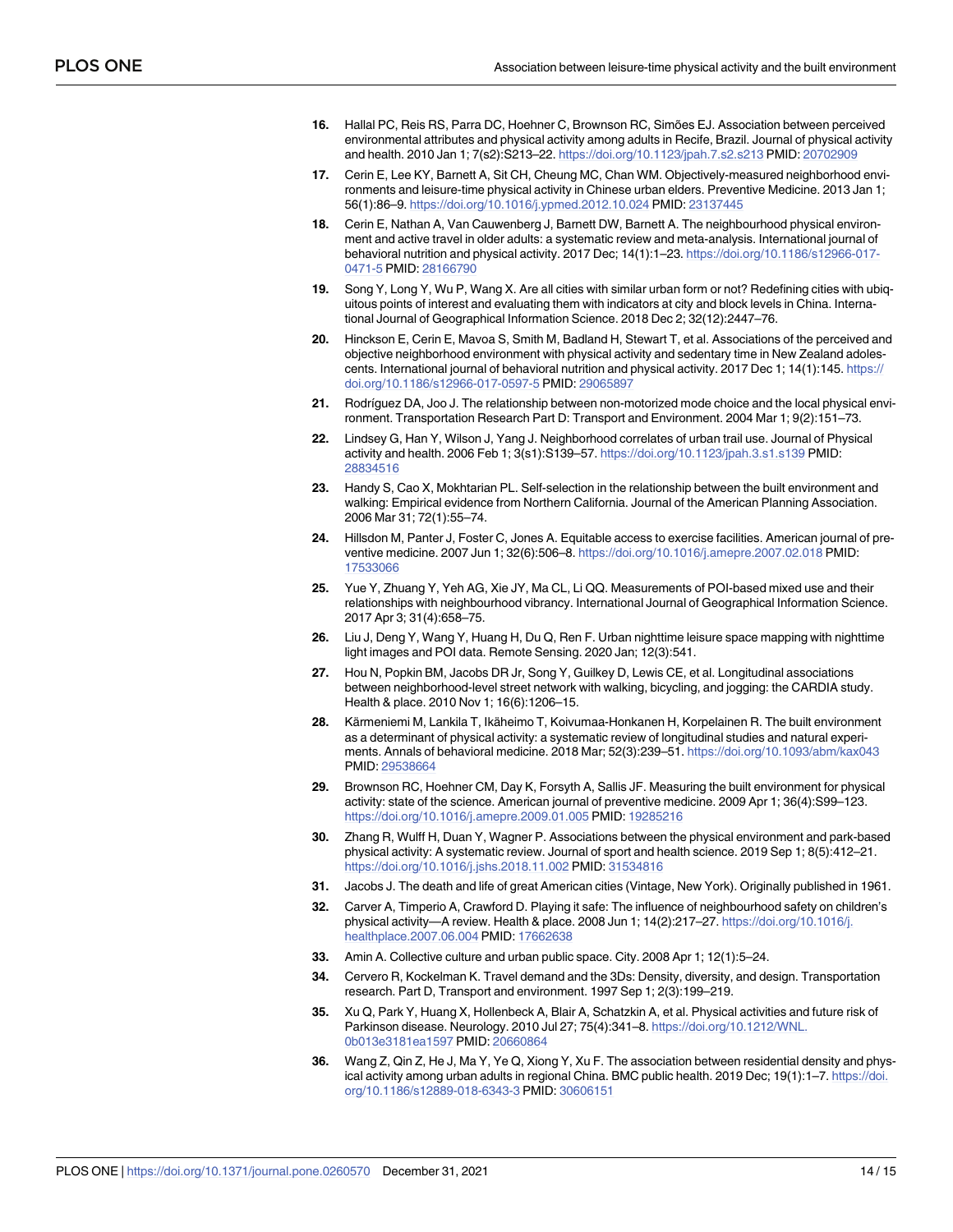- <span id="page-13-0"></span>**[16](#page-3-0).** Hallal PC, Reis RS, Parra DC, Hoehner C, Brownson RC, Simões EJ. Association between perceived environmental attributes and physical activity among adults in Recife, Brazil. Journal of physical activity and health. 2010 Jan 1; 7(s2):S213–22. <https://doi.org/10.1123/jpah.7.s2.s213> PMID: [20702909](http://www.ncbi.nlm.nih.gov/pubmed/20702909)
- **[17](#page-11-0).** Cerin E, Lee KY, Barnett A, Sit CH, Cheung MC, Chan WM. Objectively-measured neighborhood environments and leisure-time physical activity in Chinese urban elders. Preventive Medicine. 2013 Jan 1; 56(1):86–9. <https://doi.org/10.1016/j.ypmed.2012.10.024> PMID: [23137445](http://www.ncbi.nlm.nih.gov/pubmed/23137445)
- **[18](#page-1-0).** Cerin E, Nathan A, Van Cauwenberg J, Barnett DW, Barnett A. The neighbourhood physical environment and active travel in older adults: a systematic review and meta-analysis. International journal of behavioral nutrition and physical activity. 2017 Dec; 14(1):1–23. [https://doi.org/10.1186/s12966-017-](https://doi.org/10.1186/s12966-017-0471-5) [0471-5](https://doi.org/10.1186/s12966-017-0471-5) PMID: [28166790](http://www.ncbi.nlm.nih.gov/pubmed/28166790)
- **[19](#page-1-0).** Song Y, Long Y, Wu P, Wang X. Are all cities with similar urban form or not? Redefining cities with ubiquitous points of interest and evaluating them with indicators at city and block levels in China. International Journal of Geographical Information Science. 2018 Dec 2; 32(12):2447–76.
- **[20](#page-3-0).** Hinckson E, Cerin E, Mavoa S, Smith M, Badland H, Stewart T, et al. Associations of the perceived and objective neighborhood environment with physical activity and sedentary time in New Zealand adolescents. International journal of behavioral nutrition and physical activity. 2017 Dec 1; 14(1):145. [https://](https://doi.org/10.1186/s12966-017-0597-5) [doi.org/10.1186/s12966-017-0597-5](https://doi.org/10.1186/s12966-017-0597-5) PMID: [29065897](http://www.ncbi.nlm.nih.gov/pubmed/29065897)
- **[21](#page-3-0).** Rodrı´guez DA, Joo J. The relationship between non-motorized mode choice and the local physical environment. Transportation Research Part D: Transport and Environment. 2004 Mar 1; 9(2):151–73.
- **[22](#page-3-0).** Lindsey G, Han Y, Wilson J, Yang J. Neighborhood correlates of urban trail use. Journal of Physical activity and health. 2006 Feb 1; 3(s1):S139–57. <https://doi.org/10.1123/jpah.3.s1.s139> PMID: [28834516](http://www.ncbi.nlm.nih.gov/pubmed/28834516)
- **[23](#page-3-0).** Handy S, Cao X, Mokhtarian PL. Self-selection in the relationship between the built environment and walking: Empirical evidence from Northern California. Journal of the American Planning Association. 2006 Mar 31; 72(1):55–74.
- **[24](#page-3-0).** Hillsdon M, Panter J, Foster C, Jones A. Equitable access to exercise facilities. American journal of preventive medicine. 2007 Jun 1; 32(6):506–8. <https://doi.org/10.1016/j.amepre.2007.02.018> PMID: [17533066](http://www.ncbi.nlm.nih.gov/pubmed/17533066)
- **[25](#page-4-0).** Yue Y, Zhuang Y, Yeh AG, Xie JY, Ma CL, Li QQ. Measurements of POI-based mixed use and their relationships with neighbourhood vibrancy. International Journal of Geographical Information Science. 2017 Apr 3; 31(4):658–75.
- **[26](#page-4-0).** Liu J, Deng Y, Wang Y, Huang H, Du Q, Ren F. Urban nighttime leisure space mapping with nighttime light images and POI data. Remote Sensing. 2020 Jan; 12(3):541.
- **[27](#page-4-0).** Hou N, Popkin BM, Jacobs DR Jr, Song Y, Guilkey D, Lewis CE, et al. Longitudinal associations between neighborhood-level street network with walking, bicycling, and jogging: the CARDIA study. Health & place. 2010 Nov 1; 16(6):1206–15.
- **[28](#page-4-0).** Kärmeniemi M, Lankila T, Ikäheimo T, Koivumaa-Honkanen H, Korpelainen R. The built environment as a determinant of physical activity: a systematic review of longitudinal studies and natural experiments. Annals of behavioral medicine. 2018 Mar; 52(3):239–51. <https://doi.org/10.1093/abm/kax043> PMID: [29538664](http://www.ncbi.nlm.nih.gov/pubmed/29538664)
- **[29](#page-4-0).** Brownson RC, Hoehner CM, Day K, Forsyth A, Sallis JF. Measuring the built environment for physical activity: state of the science. American journal of preventive medicine. 2009 Apr 1; 36(4):S99–123. <https://doi.org/10.1016/j.amepre.2009.01.005> PMID: [19285216](http://www.ncbi.nlm.nih.gov/pubmed/19285216)
- **[30](#page-4-0).** Zhang R, Wulff H, Duan Y, Wagner P. Associations between the physical environment and park-based physical activity: A systematic review. Journal of sport and health science. 2019 Sep 1; 8(5):412–21. <https://doi.org/10.1016/j.jshs.2018.11.002> PMID: [31534816](http://www.ncbi.nlm.nih.gov/pubmed/31534816)
- **[31](#page-8-0).** Jacobs J. The death and life of great American cities (Vintage, New York). Originally published in 1961.
- **[32](#page-8-0).** Carver A, Timperio A, Crawford D. Playing it safe: The influence of neighbourhood safety on children's physical activity—A review. Health & place. 2008 Jun 1; 14(2):217–27. [https://doi.org/10.1016/j.](https://doi.org/10.1016/j.healthplace.2007.06.004) [healthplace.2007.06.004](https://doi.org/10.1016/j.healthplace.2007.06.004) PMID: [17662638](http://www.ncbi.nlm.nih.gov/pubmed/17662638)
- **[33](#page-9-0).** Amin A. Collective culture and urban public space. City. 2008 Apr 1; 12(1):5–24.
- **[34](#page-9-0).** Cervero R, Kockelman K. Travel demand and the 3Ds: Density, diversity, and design. Transportation research. Part D, Transport and environment. 1997 Sep 1; 2(3):199–219.
- **[35](#page-9-0).** Xu Q, Park Y, Huang X, Hollenbeck A, Blair A, Schatzkin A, et al. Physical activities and future risk of Parkinson disease. Neurology. 2010 Jul 27; 75(4):341–8. [https://doi.org/10.1212/WNL.](https://doi.org/10.1212/WNL.0b013e3181ea1597) [0b013e3181ea1597](https://doi.org/10.1212/WNL.0b013e3181ea1597) PMID: [20660864](http://www.ncbi.nlm.nih.gov/pubmed/20660864)
- **[36](#page-9-0).** Wang Z, Qin Z, He J, Ma Y, Ye Q, Xiong Y, Xu F. The association between residential density and physical activity among urban adults in regional China. BMC public health. 2019 Dec; 19(1):1–7. [https://doi.](https://doi.org/10.1186/s12889-018-6343-3) [org/10.1186/s12889-018-6343-3](https://doi.org/10.1186/s12889-018-6343-3) PMID: [30606151](http://www.ncbi.nlm.nih.gov/pubmed/30606151)